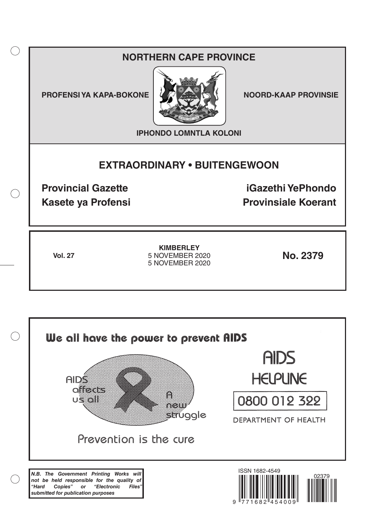# **NORTHERN CAPE PROVINCE**

**PROFENSI YA KAPA-BOKONE NOORD-KAAP PROVINSIE** 

 $($ )



**IPHONDO LOMNTLA KOLONI**

# **EXTRAORDINARY • BUITENGEWOON**

**Provincial Gazette iGazethi YePhondo Kasete ya Profensi Provinsiale Koerant** 

**Vol. 27 No. 2379** 5 NOVEMBER 2020 **KIMBERLEY** 5 NOVEMBER 2020

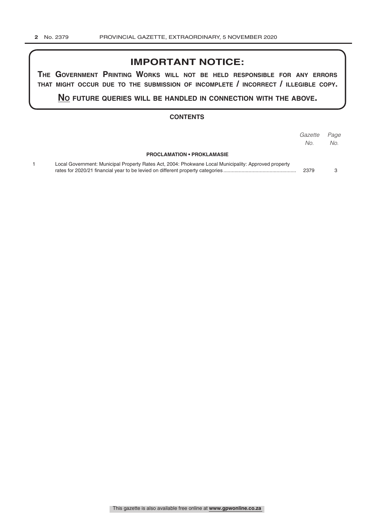## **IMPORTANT NOTICE:**

**The GovernmenT PrinTinG Works Will noT be held resPonsible for any errors ThaT miGhT occur due To The submission of incomPleTe / incorrecT / illeGible coPy.**

**no fuTure queries Will be handled in connecTion WiTh The above.**

#### **CONTENTS**

|                                                                                                      | Gazette<br>No. | Page<br>No. |
|------------------------------------------------------------------------------------------------------|----------------|-------------|
| <b>PROCLAMATION • PROKLAMASIE</b>                                                                    |                |             |
| Local Government: Municipal Property Rates Act, 2004: Phokwane Local Municipality: Approved property | 2379           |             |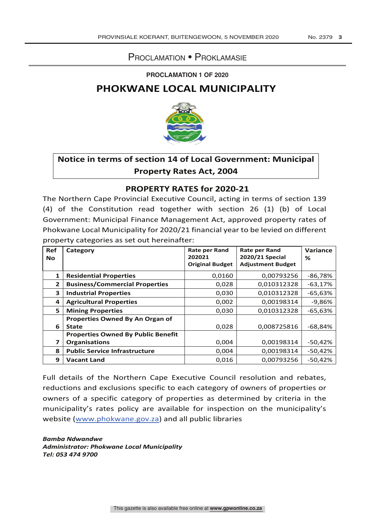### Proclamation • Proklamasie

#### **PROCLAMATION 1 OF 2020**

### **PHOKWANE LOCAL MUNICIPALITY**



## **Notice in terms of section 14 of Local Government: Municipal Property Rates Act, 2004**

### **PROPERTY RATES for 2020-21**

The Northern Cape Provincial Executive Council, acting in terms of section 139 (4) of the Constitution read together with section 26 (1) (b) of Local Government: Municipal Finance Management Act, approved property rates of Phokwane Local Municipality for 2020/21 financial year to be levied on different property categories as set out hereinafter:

| Ref            | Category                                  | <b>Rate per Rand</b>   | <b>Rate per Rand</b>     | Variance  |
|----------------|-------------------------------------------|------------------------|--------------------------|-----------|
| <b>No</b>      |                                           | 202021                 | 2020/21 Special          | ℅         |
|                |                                           | <b>Original Budget</b> | <b>Adjustment Budget</b> |           |
|                | <b>Residential Properties</b>             | 0,0160                 | 0,00793256               | $-86,78%$ |
| $\overline{2}$ | <b>Business/Commercial Properties</b>     | 0,028                  | 0,010312328              | $-63,17%$ |
| 3              | <b>Industrial Properties</b>              | 0,030                  | 0,010312328              | $-65,63%$ |
| 4              | <b>Agricultural Properties</b>            | 0,002                  | 0,00198314               | $-9,86%$  |
| 5              | <b>Mining Properties</b>                  | 0,030                  | 0,010312328              | $-65,63%$ |
|                | Properties Owned By An Organ of           |                        |                          |           |
| 6              | <b>State</b>                              | 0,028                  | 0,008725816              | $-68,84%$ |
|                | <b>Properties Owned By Public Benefit</b> |                        |                          |           |
| 7              | <b>Organisations</b>                      | 0,004                  | 0,00198314               | $-50,42%$ |
| 8              | <b>Public Service Infrastructure</b>      | 0,004                  | 0,00198314               | $-50,42%$ |
| 9              | <b>Vacant Land</b>                        | 0,016                  | 0.00793256               | $-50,42%$ |

Full details of the Northern Cape Executive Council resolution and rebates, reductions and exclusions specific to each category of owners of properties or owners of a specific category of properties as determined by criteria in the municipality's rates policy are available for inspection on the municipality's website (www.phokwane.gov.za) and all public libraries

*Bamba Ndwandwe Administrator: Phokwane Local Municipality Tel: 053 474 9700*